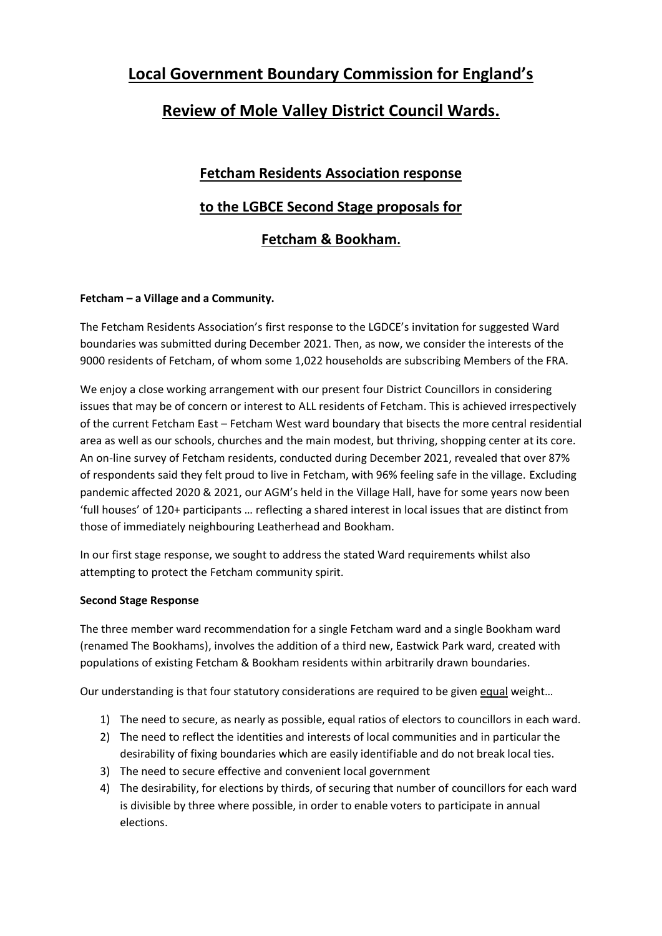## **Local Government Boundary Commission for England's**

### **Review of Mole Valley District Council Wards.**

# **Fetcham Residents Association response to the LGBCE Second Stage proposals for Fetcham & Bookham.**

#### **Fetcham – a Village and a Community.**

The Fetcham Residents Association's first response to the LGDCE's invitation for suggested Ward boundaries was submitted during December 2021. Then, as now, we consider the interests of the 9000 residents of Fetcham, of whom some 1,022 households are subscribing Members of the FRA.

We enjoy a close working arrangement with our present four District Councillors in considering issues that may be of concern or interest to ALL residents of Fetcham. This is achieved irrespectively of the current Fetcham East – Fetcham West ward boundary that bisects the more central residential area as well as our schools, churches and the main modest, but thriving, shopping center at its core. An on-line survey of Fetcham residents, conducted during December 2021, revealed that over 87% of respondents said they felt proud to live in Fetcham, with 96% feeling safe in the village. Excluding pandemic affected 2020 & 2021, our AGM's held in the Village Hall, have for some years now been 'full houses' of 120+ participants … reflecting a shared interest in local issues that are distinct from those of immediately neighbouring Leatherhead and Bookham.

In our first stage response, we sought to address the stated Ward requirements whilst also attempting to protect the Fetcham community spirit.

#### **Second Stage Response**

The three member ward recommendation for a single Fetcham ward and a single Bookham ward (renamed The Bookhams), involves the addition of a third new, Eastwick Park ward, created with populations of existing Fetcham & Bookham residents within arbitrarily drawn boundaries.

Our understanding is that four statutory considerations are required to be given equal weight…

- 1) The need to secure, as nearly as possible, equal ratios of electors to councillors in each ward.
- 2) The need to reflect the identities and interests of local communities and in particular the desirability of fixing boundaries which are easily identifiable and do not break local ties.
- 3) The need to secure effective and convenient local government
- 4) The desirability, for elections by thirds, of securing that number of councillors for each ward is divisible by three where possible, in order to enable voters to participate in annual elections.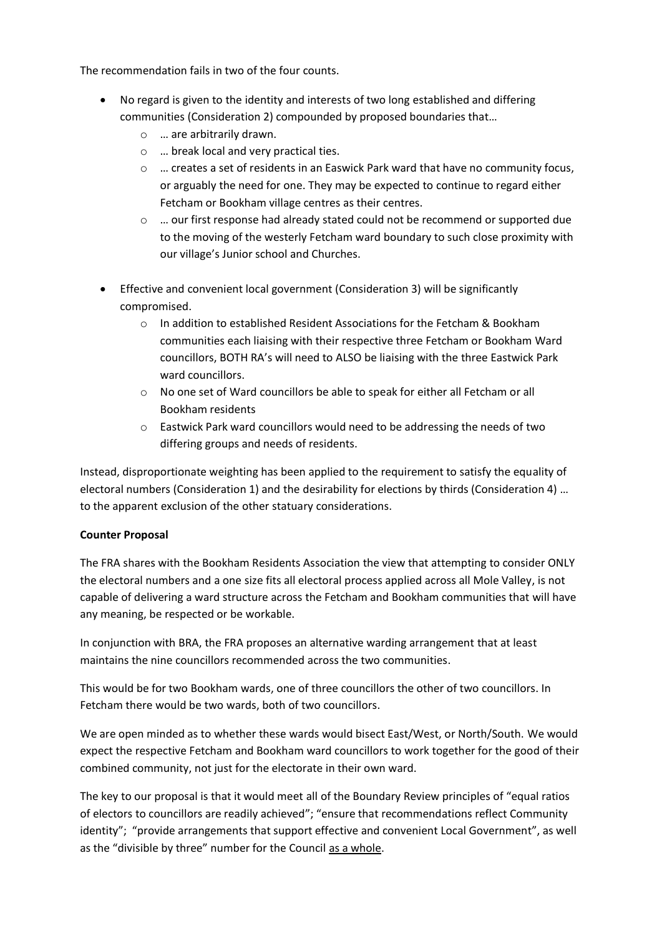The recommendation fails in two of the four counts.

- No regard is given to the identity and interests of two long established and differing communities (Consideration 2) compounded by proposed boundaries that…
	- o … are arbitrarily drawn.
	- o … break local and very practical ties.
	- o … creates a set of residents in an Easwick Park ward that have no community focus, or arguably the need for one. They may be expected to continue to regard either Fetcham or Bookham village centres as their centres.
	- $\circ$  ... our first response had already stated could not be recommend or supported due to the moving of the westerly Fetcham ward boundary to such close proximity with our village's Junior school and Churches.
- Effective and convenient local government (Consideration 3) will be significantly compromised.
	- o In addition to established Resident Associations for the Fetcham & Bookham communities each liaising with their respective three Fetcham or Bookham Ward councillors, BOTH RA's will need to ALSO be liaising with the three Eastwick Park ward councillors.
	- o No one set of Ward councillors be able to speak for either all Fetcham or all Bookham residents
	- o Eastwick Park ward councillors would need to be addressing the needs of two differing groups and needs of residents.

Instead, disproportionate weighting has been applied to the requirement to satisfy the equality of electoral numbers (Consideration 1) and the desirability for elections by thirds (Consideration 4) … to the apparent exclusion of the other statuary considerations.

#### **Counter Proposal**

The FRA shares with the Bookham Residents Association the view that attempting to consider ONLY the electoral numbers and a one size fits all electoral process applied across all Mole Valley, is not capable of delivering a ward structure across the Fetcham and Bookham communities that will have any meaning, be respected or be workable.

In conjunction with BRA, the FRA proposes an alternative warding arrangement that at least maintains the nine councillors recommended across the two communities.

This would be for two Bookham wards, one of three councillors the other of two councillors. In Fetcham there would be two wards, both of two councillors.

We are open minded as to whether these wards would bisect East/West, or North/South. We would expect the respective Fetcham and Bookham ward councillors to work together for the good of their combined community, not just for the electorate in their own ward.

The key to our proposal is that it would meet all of the Boundary Review principles of "equal ratios of electors to councillors are readily achieved"; "ensure that recommendations reflect Community identity"; "provide arrangements that support effective and convenient Local Government", as well as the "divisible by three" number for the Council as a whole.